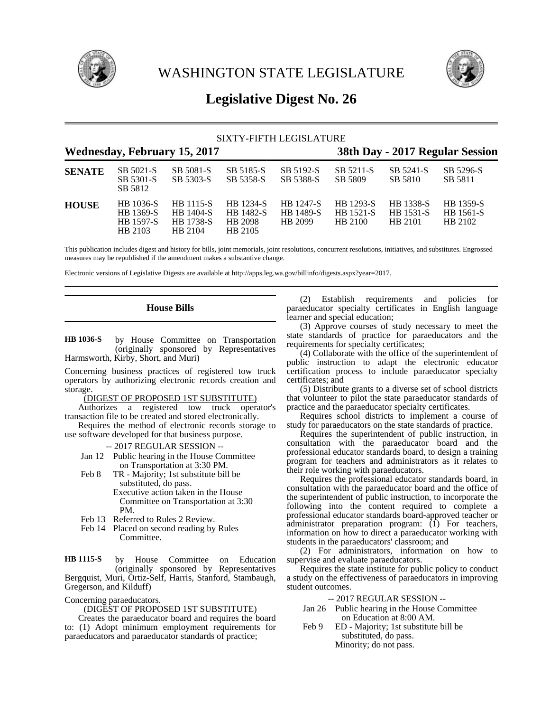



# **Legislative Digest No. 26**

| SIXTY-FIFTH LEGISLATURE             |                                                |                                                |                                                     |                                   |                                   |                                   |                                   |  |
|-------------------------------------|------------------------------------------------|------------------------------------------------|-----------------------------------------------------|-----------------------------------|-----------------------------------|-----------------------------------|-----------------------------------|--|
| <b>Wednesday, February 15, 2017</b> |                                                |                                                |                                                     |                                   | 38th Day - 2017 Regular Session   |                                   |                                   |  |
| <b>SENATE</b>                       | SB 5021-S<br>SB 5301-S<br>SB 5812              | SB 5081-S<br>SB 5303-S                         | SB 5185-S<br>SB 5358-S                              | SB 5192-S<br>SB 5388-S            | SB 5211-S<br>SB 5809              | SB 5241-S<br>SB 5810              | SB 5296-S<br>SB 5811              |  |
| <b>HOUSE</b>                        | HB 1036-S<br>HB 1369-S<br>HB 1597-S<br>HB 2103 | HB 1115-S<br>HB 1404-S<br>HB 1738-S<br>HB 2104 | <b>HB</b> 1234-S<br>HB 1482-S<br>HB 2098<br>HB 2105 | HB 1247-S<br>HB 1489-S<br>HB 2099 | HB 1293-S<br>HB 1521-S<br>HB 2100 | HB 1338-S<br>HB 1531-S<br>HB 2101 | HB 1359-S<br>HB 1561-S<br>HB 2102 |  |

This publication includes digest and history for bills, joint memorials, joint resolutions, concurrent resolutions, initiatives, and substitutes. Engrossed measures may be republished if the amendment makes a substantive change.

Electronic versions of Legislative Digests are available at http://apps.leg.wa.gov/billinfo/digests.aspx?year=2017.

# **House Bills**

by House Committee on Transportation (originally sponsored by Representatives Harmsworth, Kirby, Short, and Muri) **HB 1036-S**

Concerning business practices of registered tow truck operators by authorizing electronic records creation and storage.

(DIGEST OF PROPOSED 1ST SUBSTITUTE)

Authorizes a registered tow truck operator's transaction file to be created and stored electronically.

Requires the method of electronic records storage to use software developed for that business purpose.

-- 2017 REGULAR SESSION --

- Jan 12 Public hearing in the House Committee on Transportation at 3:30 PM.
- Feb 8 TR Majority; 1st substitute bill be substituted, do pass. Executive action taken in the House Committee on Transportation at 3:30
- PM. Feb 13 Referred to Rules 2 Review.
- Feb 14 Placed on second reading by Rules
- Committee.

by House Committee on Education (originally sponsored by Representatives Bergquist, Muri, Ortiz-Self, Harris, Stanford, Stambaugh, Gregerson, and Kilduff) **HB 1115-S**

Concerning paraeducators.

(DIGEST OF PROPOSED 1ST SUBSTITUTE)

Creates the paraeducator board and requires the board to: (1) Adopt minimum employment requirements for paraeducators and paraeducator standards of practice;

(2) Establish requirements and policies for paraeducator specialty certificates in English language learner and special education;

(3) Approve courses of study necessary to meet the state standards of practice for paraeducators and the requirements for specialty certificates;

(4) Collaborate with the office of the superintendent of public instruction to adapt the electronic educator certification process to include paraeducator specialty certificates; and

(5) Distribute grants to a diverse set of school districts that volunteer to pilot the state paraeducator standards of practice and the paraeducator specialty certificates.

Requires school districts to implement a course of study for paraeducators on the state standards of practice.

Requires the superintendent of public instruction, in consultation with the paraeducator board and the professional educator standards board, to design a training program for teachers and administrators as it relates to their role working with paraeducators.

Requires the professional educator standards board, in consultation with the paraeducator board and the office of the superintendent of public instruction, to incorporate the following into the content required to complete a professional educator standards board-approved teacher or administrator preparation program: (1) For teachers, information on how to direct a paraeducator working with students in the paraeducators' classroom; and

(2) For administrators, information on how to supervise and evaluate paraeducators.

Requires the state institute for public policy to conduct a study on the effectiveness of paraeducators in improving student outcomes.

-- 2017 REGULAR SESSION --

- Jan 26 Public hearing in the House Committee on Education at 8:00 AM.
- Feb 9 ED Majority; 1st substitute bill be substituted, do pass. Minority; do not pass.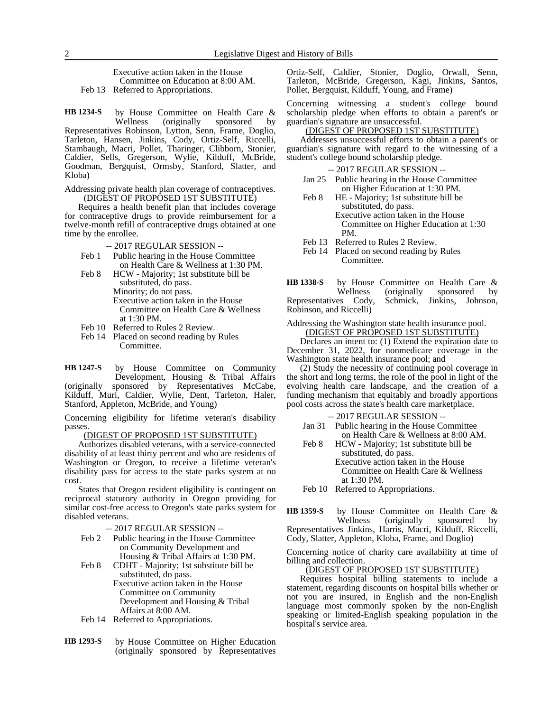Executive action taken in the House Committee on Education at 8:00 AM. Feb 13 Referred to Appropriations.

by House Committee on Health Care &<br>Wellness (originally sponsored by Wellness (originally sponsored by Representatives Robinson, Lytton, Senn, Frame, Doglio, Tarleton, Hansen, Jinkins, Cody, Ortiz-Self, Riccelli, Stambaugh, Macri, Pollet, Tharinger, Clibborn, Stonier, Caldier, Sells, Gregerson, Wylie, Kilduff, McBride, Goodman, Bergquist, Ormsby, Stanford, Slatter, and Kloba) **HB 1234-S**

#### Addressing private health plan coverage of contraceptives. (DIGEST OF PROPOSED 1ST SUBSTITUTE)

Requires a health benefit plan that includes coverage for contraceptive drugs to provide reimbursement for a twelve-month refill of contraceptive drugs obtained at one time by the enrollee.

-- 2017 REGULAR SESSION --

- Feb 1 Public hearing in the House Committee on Health Care & Wellness at 1:30 PM.
- Feb 8 HCW Majority; 1st substitute bill be substituted, do pass. Minority; do not pass. Executive action taken in the House Committee on Health Care & Wellness at 1:30 PM.
- Feb 10 Referred to Rules 2 Review.
- Feb 14 Placed on second reading by Rules Committee.

by House Committee on Community Development, Housing & Tribal Affairs (originally sponsored by Representatives McCabe, Kilduff, Muri, Caldier, Wylie, Dent, Tarleton, Haler, Stanford, Appleton, McBride, and Young) **HB 1247-S**

Concerning eligibility for lifetime veteran's disability passes.

#### (DIGEST OF PROPOSED 1ST SUBSTITUTE)

Authorizes disabled veterans, with a service-connected disability of at least thirty percent and who are residents of Washington or Oregon, to receive a lifetime veteran's disability pass for access to the state parks system at no cost.

States that Oregon resident eligibility is contingent on reciprocal statutory authority in Oregon providing for similar cost-free access to Oregon's state parks system for disabled veterans.

- -- 2017 REGULAR SESSION --
- Feb 2 Public hearing in the House Committee on Community Development and Housing & Tribal Affairs at 1:30 PM.
- Feb 8 CDHT Majority; 1st substitute bill be substituted, do pass. Executive action taken in the House Committee on Community Development and Housing & Tribal Affairs at 8:00 AM.
- Feb 14 Referred to Appropriations.
- by House Committee on Higher Education (originally sponsored by Representatives **HB 1293-S**

Ortiz-Self, Caldier, Stonier, Doglio, Orwall, Senn, Tarleton, McBride, Gregerson, Kagi, Jinkins, Santos, Pollet, Bergquist, Kilduff, Young, and Frame)

Concerning witnessing a student's college bound scholarship pledge when efforts to obtain a parent's or guardian's signature are unsuccessful.

#### (DIGEST OF PROPOSED 1ST SUBSTITUTE)

Addresses unsuccessful efforts to obtain a parent's or guardian's signature with regard to the witnessing of a student's college bound scholarship pledge.

#### -- 2017 REGULAR SESSION --

- Jan 25 Public hearing in the House Committee on Higher Education at 1:30 PM.
- Feb 8 HE Majority; 1st substitute bill be substituted, do pass. Executive action taken in the House Committee on Higher Education at 1:30 PM.
- Feb 13 Referred to Rules 2 Review.
- Feb 14 Placed on second reading by Rules Committee.
- by House Committee on Health Care &<br>Wellness (originally sponsored by (originally sponsored Representatives Cody, Schmick, Jinkins, Johnson, Robinson, and Riccelli) **HB 1338-S**

### Addressing the Washington state health insurance pool. (DIGEST OF PROPOSED 1ST SUBSTITUTE)

Declares an intent to: (1) Extend the expiration date to December 31, 2022, for nonmedicare coverage in the Washington state health insurance pool; and

(2) Study the necessity of continuing pool coverage in the short and long terms, the role of the pool in light of the evolving health care landscape, and the creation of a funding mechanism that equitably and broadly apportions pool costs across the state's health care marketplace.

#### -- 2017 REGULAR SESSION --

- Jan 31 Public hearing in the House Committee on Health Care & Wellness at 8:00 AM.
- Feb 8 HCW Majority; 1st substitute bill be substituted, do pass. Executive action taken in the House Committee on Health Care & Wellness at 1:30 PM.
- Feb 10 Referred to Appropriations.

by House Committee on Health Care &<br>Wellness (originally sponsored by (originally sponsored by Representatives Jinkins, Harris, Macri, Kilduff, Riccelli, Cody, Slatter, Appleton, Kloba, Frame, and Doglio) **HB 1359-S**

Concerning notice of charity care availability at time of billing and collection.

#### (DIGEST OF PROPOSED 1ST SUBSTITUTE)

Requires hospital billing statements to include a statement, regarding discounts on hospital bills whether or not you are insured, in English and the non-English language most commonly spoken by the non-English speaking or limited-English speaking population in the hospital's service area.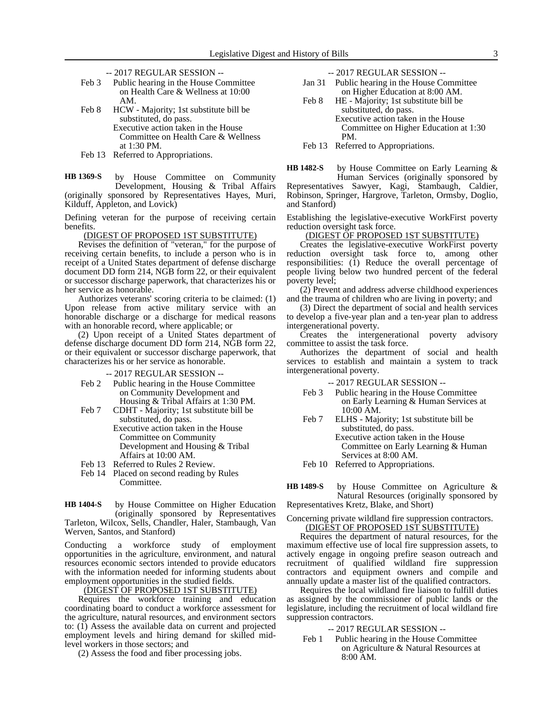- -- 2017 REGULAR SESSION --
- Feb 3 Public hearing in the House Committee on Health Care & Wellness at 10:00 AM.
- Feb 8 HCW Majority; 1st substitute bill be substituted, do pass. Executive action taken in the House Committee on Health Care & Wellness at 1:30 PM.
- Feb 13 Referred to Appropriations.

by House Committee on Community Development, Housing & Tribal Affairs (originally sponsored by Representatives Hayes, Muri, Kilduff, Appleton, and Lovick) **HB 1369-S**

Defining veteran for the purpose of receiving certain benefits.

(DIGEST OF PROPOSED 1ST SUBSTITUTE)

Revises the definition of "veteran," for the purpose of receiving certain benefits, to include a person who is in receipt of a United States department of defense discharge document DD form 214, NGB form 22, or their equivalent or successor discharge paperwork, that characterizes his or her service as honorable.

Authorizes veterans' scoring criteria to be claimed: (1) Upon release from active military service with an honorable discharge or a discharge for medical reasons with an honorable record, where applicable; or

(2) Upon receipt of a United States department of defense discharge document DD form 214, NGB form 22, or their equivalent or successor discharge paperwork, that characterizes his or her service as honorable.

-- 2017 REGULAR SESSION --

- Feb 2 Public hearing in the House Committee on Community Development and Housing & Tribal Affairs at 1:30 PM.
- Feb 7 CDHT Majority; 1st substitute bill be substituted, do pass.
	- Executive action taken in the House Committee on Community Development and Housing & Tribal Affairs at 10:00 AM.
- Feb 13 Referred to Rules 2 Review.
- Feb 14 Placed on second reading by Rules Committee.

by House Committee on Higher Education (originally sponsored by Representatives Tarleton, Wilcox, Sells, Chandler, Haler, Stambaugh, Van Werven, Santos, and Stanford) **HB 1404-S**

Conducting a workforce study of employment opportunities in the agriculture, environment, and natural resources economic sectors intended to provide educators with the information needed for informing students about employment opportunities in the studied fields.

(DIGEST OF PROPOSED 1ST SUBSTITUTE)

Requires the workforce training and education coordinating board to conduct a workforce assessment for the agriculture, natural resources, and environment sectors to: (1) Assess the available data on current and projected employment levels and hiring demand for skilled midlevel workers in those sectors; and

(2) Assess the food and fiber processing jobs.

- -- 2017 REGULAR SESSION --
- Jan 31 Public hearing in the House Committee on Higher Education at 8:00 AM.
- Feb 8 HE Majority; 1st substitute bill be substituted, do pass. Executive action taken in the House Committee on Higher Education at 1:30
	- PM.
- Feb 13 Referred to Appropriations.

by House Committee on Early Learning & **HB 1482-S**

Human Services (originally sponsored by Representatives Sawyer, Kagi, Stambaugh, Caldier, Robinson, Springer, Hargrove, Tarleton, Ormsby, Doglio, and Stanford)

Establishing the legislative-executive WorkFirst poverty reduction oversight task force.

### (DIGEST OF PROPOSED 1ST SUBSTITUTE)

Creates the legislative-executive WorkFirst poverty reduction oversight task force to, among other responsibilities: (1) Reduce the overall percentage of people living below two hundred percent of the federal poverty level;

(2) Prevent and address adverse childhood experiences and the trauma of children who are living in poverty; and

(3) Direct the department of social and health services to develop a five-year plan and a ten-year plan to address intergenerational poverty.

Creates the intergenerational poverty advisory committee to assist the task force.

Authorizes the department of social and health services to establish and maintain a system to track intergenerational poverty.

- -- 2017 REGULAR SESSION --
- Feb 3 Public hearing in the House Committee on Early Learning & Human Services at 10:00 AM.
- Feb 7 ELHS Majority; 1st substitute bill be substituted, do pass. Executive action taken in the House Committee on Early Learning & Human Services at 8:00 AM.
- Feb 10 Referred to Appropriations.
- by House Committee on Agriculture & Natural Resources (originally sponsored by Representatives Kretz, Blake, and Short) **HB 1489-S**

# Concerning private wildland fire suppression contractors. (DIGEST OF PROPOSED 1ST SUBSTITUTE)

Requires the department of natural resources, for the maximum effective use of local fire suppression assets, to actively engage in ongoing prefire season outreach and recruitment of qualified wildland fire suppression contractors and equipment owners and compile and annually update a master list of the qualified contractors.

Requires the local wildland fire liaison to fulfill duties as assigned by the commissioner of public lands or the legislature, including the recruitment of local wildland fire suppression contractors.

-- 2017 REGULAR SESSION --

Feb 1 Public hearing in the House Committee on Agriculture & Natural Resources at 8:00 AM.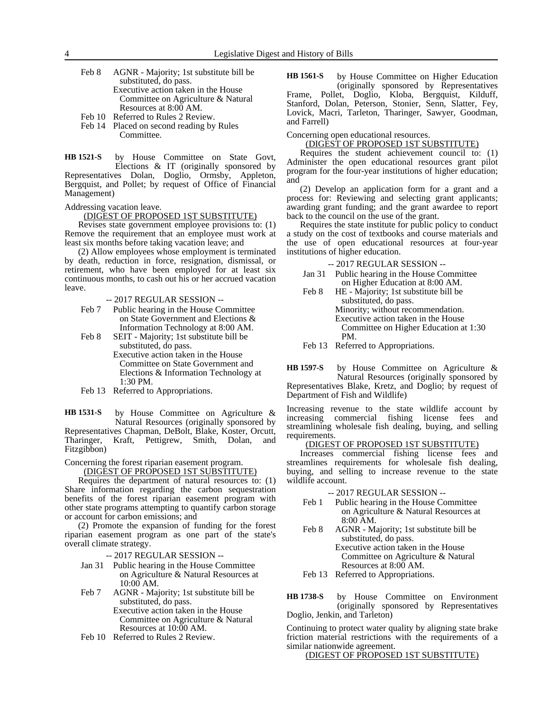- Feb 8 AGNR Majority; 1st substitute bill be substituted, do pass. Executive action taken in the House Committee on Agriculture & Natural Resources at 8:00 AM.
- Feb 10 Referred to Rules 2 Review.
- Feb 14 Placed on second reading by Rules Committee.
- by House Committee on State Govt, Elections & IT (originally sponsored by Representatives Dolan, Doglio, Ormsby, Appleton, Bergquist, and Pollet; by request of Office of Financial Management) **HB 1521-S**

Addressing vacation leave.

#### (DIGEST OF PROPOSED 1ST SUBSTITUTE)

Revises state government employee provisions to: (1) Remove the requirement that an employee must work at least six months before taking vacation leave; and

(2) Allow employees whose employment is terminated by death, reduction in force, resignation, dismissal, or retirement, who have been employed for at least six continuous months, to cash out his or her accrued vacation leave.

-- 2017 REGULAR SESSION --

- Feb 7 Public hearing in the House Committee on State Government and Elections & Information Technology at 8:00 AM.
- Feb 8 SEIT Majority; 1st substitute bill be substituted, do pass. Executive action taken in the House

Committee on State Government and Elections & Information Technology at 1:30 PM.

Feb 13 Referred to Appropriations.

by House Committee on Agriculture & Natural Resources (originally sponsored by Representatives Chapman, DeBolt, Blake, Koster, Orcutt, Tharinger, Kraft, Pettigrew, Smith, Dolan, and Fitzgibbon) **HB 1531-S**

Concerning the forest riparian easement program.

(DIGEST OF PROPOSED 1ST SUBSTITUTE)

Requires the department of natural resources to: (1) Share information regarding the carbon sequestration benefits of the forest riparian easement program with other state programs attempting to quantify carbon storage or account for carbon emissions; and

(2) Promote the expansion of funding for the forest riparian easement program as one part of the state's overall climate strategy.

-- 2017 REGULAR SESSION --

- Jan 31 Public hearing in the House Committee on Agriculture & Natural Resources at 10:00 AM.
- Feb 7 AGNR Majority; 1st substitute bill be substituted, do pass.

Executive action taken in the House Committee on Agriculture & Natural Resources at 10:00 AM.

Feb 10 Referred to Rules 2 Review.

by House Committee on Higher Education (originally sponsored by Representatives Frame, Pollet, Doglio, Kloba, Bergquist, Kilduff, Stanford, Dolan, Peterson, Stonier, Senn, Slatter, Fey, Lovick, Macri, Tarleton, Tharinger, Sawyer, Goodman, and Farrell) **HB 1561-S**

Concerning open educational resources.

#### (DIGEST OF PROPOSED 1ST SUBSTITUTE)

Requires the student achievement council to: (1) Administer the open educational resources grant pilot program for the four-year institutions of higher education; and

(2) Develop an application form for a grant and a process for: Reviewing and selecting grant applicants; awarding grant funding; and the grant awardee to report back to the council on the use of the grant.

Requires the state institute for public policy to conduct a study on the cost of textbooks and course materials and the use of open educational resources at four-year institutions of higher education.

-- 2017 REGULAR SESSION --

- Jan 31 Public hearing in the House Committee on Higher Education at 8:00 AM.
- Feb 8 HE Majority; 1st substitute bill be substituted, do pass. Minority; without recommendation. Executive action taken in the House Committee on Higher Education at 1:30 PM.

Feb 13 Referred to Appropriations.

by House Committee on Agriculture & Natural Resources (originally sponsored by Representatives Blake, Kretz, and Doglio; by request of Department of Fish and Wildlife) **HB 1597-S**

Increasing revenue to the state wildlife account by increasing commercial fishing license fees and streamlining wholesale fish dealing, buying, and selling requirements.

## (DIGEST OF PROPOSED 1ST SUBSTITUTE)

Increases commercial fishing license fees and streamlines requirements for wholesale fish dealing, buying, and selling to increase revenue to the state wildlife account.

-- 2017 REGULAR SESSION --

- Feb 1 Public hearing in the House Committee on Agriculture & Natural Resources at 8:00 AM.
- Feb 8 AGNR Majority; 1st substitute bill be substituted, do pass. Executive action taken in the House Committee on Agriculture & Natural Resources at 8:00 AM.
- Feb 13 Referred to Appropriations.

by House Committee on Environment (originally sponsored by Representatives Doglio, Jenkin, and Tarleton) **HB 1738-S**

Continuing to protect water quality by aligning state brake friction material restrictions with the requirements of a similar nationwide agreement.

(DIGEST OF PROPOSED 1ST SUBSTITUTE)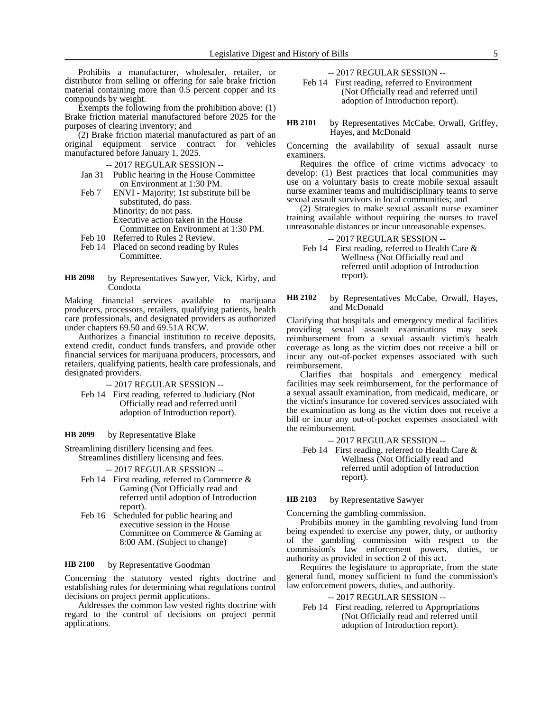Prohibits a manufacturer, wholesaler, retailer, or distributor from selling or offering for sale brake friction material containing more than 0.5 percent copper and its compounds by weight.

Exempts the following from the prohibition above: (1) Brake friction material manufactured before 2025 for the purposes of clearing inventory; and

(2) Brake friction material manufactured as part of an original equipment service contract for vehicles manufactured before January 1, 2025.

- -- 2017 REGULAR SESSION --
- Jan 31 Public hearing in the House Committee on Environment at 1:30 PM.
- Feb 7 ENVI Majority; 1st substitute bill be substituted, do pass. Minority; do not pass. Executive action taken in the House Committee on Environment at 1:30 PM.
- Feb 10 Referred to Rules 2 Review.
- Feb 14 Placed on second reading by Rules Committee.
- by Representatives Sawyer, Vick, Kirby, and Condotta **HB 2098**

Making financial services available to marijuana producers, processors, retailers, qualifying patients, health care professionals, and designated providers as authorized under chapters 69.50 and 69.51A RCW.

Authorizes a financial institution to receive deposits, extend credit, conduct funds transfers, and provide other financial services for marijuana producers, processors, and retailers, qualifying patients, health care professionals, and designated providers.

-- 2017 REGULAR SESSION --

Feb 14 First reading, referred to Judiciary (Not Officially read and referred until adoption of Introduction report).

by Representative Blake **HB 2099**

Streamlining distillery licensing and fees. Streamlines distillery licensing and fees.

-- 2017 REGULAR SESSION --

- Feb 14 First reading, referred to Commerce & Gaming (Not Officially read and referred until adoption of Introduction report).
- Feb 16 Scheduled for public hearing and executive session in the House Committee on Commerce & Gaming at 8:00 AM. (Subject to change)

by Representative Goodman **HB 2100**

Concerning the statutory vested rights doctrine and establishing rules for determining what regulations control decisions on project permit applications.

Addresses the common law vested rights doctrine with regard to the control of decisions on project permit applications.

-- 2017 REGULAR SESSION --

Feb 14 First reading, referred to Environment (Not Officially read and referred until adoption of Introduction report).

by Representatives McCabe, Orwall, Griffey, Hayes, and McDonald **HB 2101**

Concerning the availability of sexual assault nurse examiners.

Requires the office of crime victims advocacy to develop: (1) Best practices that local communities may use on a voluntary basis to create mobile sexual assault nurse examiner teams and multidisciplinary teams to serve sexual assault survivors in local communities; and

(2) Strategies to make sexual assault nurse examiner training available without requiring the nurses to travel unreasonable distances or incur unreasonable expenses.

#### -- 2017 REGULAR SESSION --

- Feb 14 First reading, referred to Health Care & Wellness (Not Officially read and referred until adoption of Introduction report).
- by Representatives McCabe, Orwall, Hayes, and McDonald **HB 2102**

Clarifying that hospitals and emergency medical facilities providing sexual assault examinations may seek reimbursement from a sexual assault victim's health coverage as long as the victim does not receive a bill or incur any out-of-pocket expenses associated with such reimbursement.

Clarifies that hospitals and emergency medical facilities may seek reimbursement, for the performance of a sexual assault examination, from medicaid, medicare, or the victim's insurance for covered services associated with the examination as long as the victim does not receive a bill or incur any out-of-pocket expenses associated with the reimbursement.

-- 2017 REGULAR SESSION --

Feb 14 First reading, referred to Health Care & Wellness (Not Officially read and referred until adoption of Introduction report).

#### by Representative Sawyer **HB 2103**

Concerning the gambling commission.

Prohibits money in the gambling revolving fund from being expended to exercise any power, duty, or authority of the gambling commission with respect to the commission's law enforcement powers, duties, or authority as provided in section 2 of this act.

Requires the legislature to appropriate, from the state general fund, money sufficient to fund the commission's law enforcement powers, duties, and authority.

#### -- 2017 REGULAR SESSION --

Feb 14 First reading, referred to Appropriations (Not Officially read and referred until adoption of Introduction report).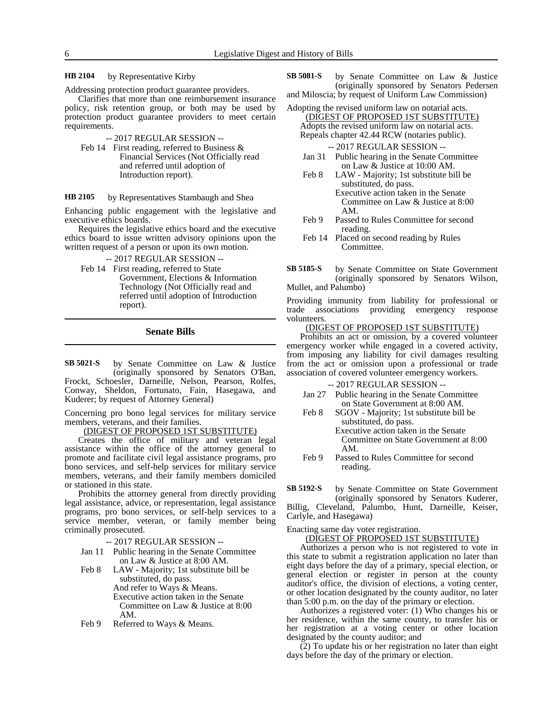by Representative Kirby **HB 2104**

Addressing protection product guarantee providers.

Clarifies that more than one reimbursement insurance policy, risk retention group, or both may be used by protection product guarantee providers to meet certain requirements.

-- 2017 REGULAR SESSION --

Feb 14 First reading, referred to Business & Financial Services (Not Officially read and referred until adoption of Introduction report).

by Representatives Stambaugh and Shea **HB 2105**

Enhancing public engagement with the legislative and executive ethics boards.

Requires the legislative ethics board and the executive ethics board to issue written advisory opinions upon the written request of a person or upon its own motion.

-- 2017 REGULAR SESSION --

Feb 14 First reading, referred to State Government, Elections & Information Technology (Not Officially read and referred until adoption of Introduction report).

**Senate Bills**

by Senate Committee on Law & Justice (originally sponsored by Senators O'Ban, Frockt, Schoesler, Darneille, Nelson, Pearson, Rolfes, Conway, Sheldon, Fortunato, Fain, Hasegawa, and Kuderer; by request of Attorney General) **SB 5021-S**

Concerning pro bono legal services for military service members, veterans, and their families.

(DIGEST OF PROPOSED 1ST SUBSTITUTE)

Creates the office of military and veteran legal assistance within the office of the attorney general to promote and facilitate civil legal assistance programs, pro bono services, and self-help services for military service members, veterans, and their family members domiciled or stationed in this state.

Prohibits the attorney general from directly providing legal assistance, advice, or representation, legal assistance programs, pro bono services, or self-help services to a service member, veteran, or family member being criminally prosecuted.

-- 2017 REGULAR SESSION --

- Jan 11 Public hearing in the Senate Committee on Law & Justice at 8:00 AM.
- Feb 8 LAW Majority; 1st substitute bill be substituted, do pass. And refer to Ways & Means. Executive action taken in the Senate Committee on Law & Justice at 8:00 AM.
- Feb 9 Referred to Ways & Means.
- by Senate Committee on Law & Justice (originally sponsored by Senators Pedersen and Miloscia; by request of Uniform Law Commission) **SB 5081-S**
- Adopting the revised uniform law on notarial acts.
	- (DIGEST OF PROPOSED 1ST SUBSTITUTE) Adopts the revised uniform law on notarial acts. Repeals chapter 42.44 RCW (notaries public).

-- 2017 REGULAR SESSION --

- Jan 31 Public hearing in the Senate Committee on Law & Justice at 10:00 AM.
- Feb 8 LAW Majority; 1st substitute bill be substituted, do pass. Executive action taken in the Senate Committee on Law & Justice at 8:00 AM.
- Feb 9 Passed to Rules Committee for second reading.
- Feb 14 Placed on second reading by Rules Committee.
- by Senate Committee on State Government (originally sponsored by Senators Wilson, Mullet, and Palumbo) **SB 5185-S**

Providing immunity from liability for professional or trade associations providing emergency response volunteers.

#### (DIGEST OF PROPOSED 1ST SUBSTITUTE)

Prohibits an act or omission, by a covered volunteer emergency worker while engaged in a covered activity, from imposing any liability for civil damages resulting from the act or omission upon a professional or trade association of covered volunteer emergency workers.

-- 2017 REGULAR SESSION --

- Jan 27 Public hearing in the Senate Committee on State Government at 8:00 AM.
- Feb 8 SGOV Majority; 1st substitute bill be substituted, do pass. Executive action taken in the Senate Committee on State Government at 8:00 AM.
- Feb 9 Passed to Rules Committee for second reading.

by Senate Committee on State Government (originally sponsored by Senators Kuderer, Billig, Cleveland, Palumbo, Hunt, Darneille, Keiser, Carlyle, and Hasegawa) **SB 5192-S**

Enacting same day voter registration.

(DIGEST OF PROPOSED 1ST SUBSTITUTE)

Authorizes a person who is not registered to vote in this state to submit a registration application no later than eight days before the day of a primary, special election, or general election or register in person at the county auditor's office, the division of elections, a voting center, or other location designated by the county auditor, no later than 5:00 p.m. on the day of the primary or election.

Authorizes a registered voter: (1) Who changes his or her residence, within the same county, to transfer his or her registration at a voting center or other location designated by the county auditor; and

(2) To update his or her registration no later than eight days before the day of the primary or election.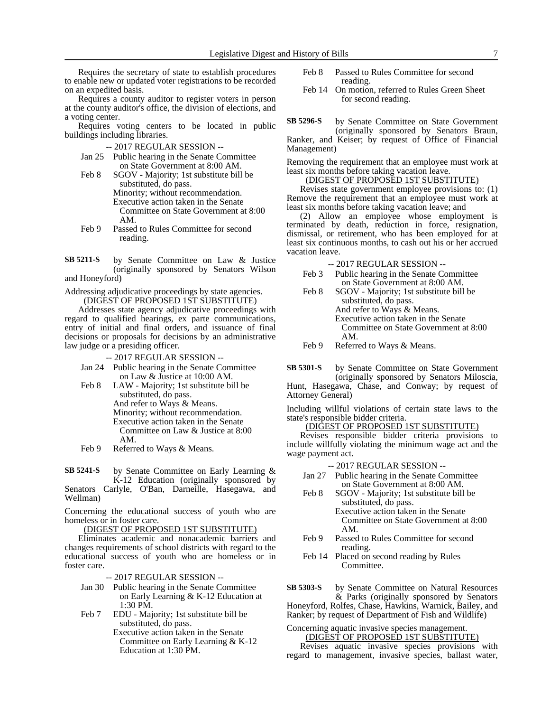Requires the secretary of state to establish procedures to enable new or updated voter registrations to be recorded on an expedited basis.

Requires a county auditor to register voters in person at the county auditor's office, the division of elections, and a voting center.

Requires voting centers to be located in public buildings including libraries.

-- 2017 REGULAR SESSION --

- Jan 25 Public hearing in the Senate Committee on State Government at 8:00 AM.
- Feb 8 SGOV Majority; 1st substitute bill be substituted, do pass. Minority; without recommendation. Executive action taken in the Senate Committee on State Government at 8:00 AM.
- Feb 9 Passed to Rules Committee for second reading.

by Senate Committee on Law & Justice (originally sponsored by Senators Wilson and Honeyford) **SB 5211-S**

Addressing adjudicative proceedings by state agencies. (DIGEST OF PROPOSED 1ST SUBSTITUTE)

Addresses state agency adjudicative proceedings with regard to qualified hearings, ex parte communications, entry of initial and final orders, and issuance of final decisions or proposals for decisions by an administrative law judge or a presiding officer.

-- 2017 REGULAR SESSION --

- Jan 24 Public hearing in the Senate Committee on Law & Justice at 10:00 AM.
- Feb 8 LAW Majority; 1st substitute bill be substituted, do pass. And refer to Ways & Means. Minority; without recommendation. Executive action taken in the Senate Committee on Law & Justice at 8:00 AM.
- Feb 9 Referred to Ways & Means.

by Senate Committee on Early Learning & K-12 Education (originally sponsored by Senators Carlyle, O'Ban, Darneille, Hasegawa, and **SB 5241-S**

Wellman)

Concerning the educational success of youth who are homeless or in foster care.

(DIGEST OF PROPOSED 1ST SUBSTITUTE)

Eliminates academic and nonacademic barriers and changes requirements of school districts with regard to the educational success of youth who are homeless or in foster care.

-- 2017 REGULAR SESSION --

- Jan 30 Public hearing in the Senate Committee on Early Learning & K-12 Education at 1:30 PM.
- Feb 7 EDU Majority; 1st substitute bill be substituted, do pass.

Executive action taken in the Senate Committee on Early Learning & K-12 Education at 1:30 PM.

- Feb 8 Passed to Rules Committee for second reading.
- Feb 14 On motion, referred to Rules Green Sheet for second reading.

by Senate Committee on State Government (originally sponsored by Senators Braun, Ranker, and Keiser; by request of Office of Financial Management) **SB 5296-S**

Removing the requirement that an employee must work at least six months before taking vacation leave.

(DIGEST OF PROPOSED 1ST SUBSTITUTE)

Revises state government employee provisions to: (1) Remove the requirement that an employee must work at least six months before taking vacation leave; and

(2) Allow an employee whose employment is terminated by death, reduction in force, resignation, dismissal, or retirement, who has been employed for at least six continuous months, to cash out his or her accrued vacation leave.

- -- 2017 REGULAR SESSION --
- Feb 3 Public hearing in the Senate Committee on State Government at 8:00 AM.
- Feb 8 SGOV Majority; 1st substitute bill be substituted, do pass. And refer to Ways & Means. Executive action taken in the Senate Committee on State Government at 8:00 AM.
- Feb 9 Referred to Ways & Means.
- by Senate Committee on State Government (originally sponsored by Senators Miloscia, Hunt, Hasegawa, Chase, and Conway; by request of Attorney General) **SB 5301-S**

Including willful violations of certain state laws to the state's responsible bidder criteria.

(DIGEST OF PROPOSED 1ST SUBSTITUTE)

Revises responsible bidder criteria provisions to include willfully violating the minimum wage act and the wage payment act.

-- 2017 REGULAR SESSION --

- Jan 27 Public hearing in the Senate Committee on State Government at 8:00 AM.
- Feb 8 SGOV Majority; 1st substitute bill be substituted, do pass.
	- Executive action taken in the Senate Committee on State Government at 8:00 AM.
- Feb 9 Passed to Rules Committee for second reading.
- Feb 14 Placed on second reading by Rules Committee.

by Senate Committee on Natural Resources & Parks (originally sponsored by Senators Honeyford, Rolfes, Chase, Hawkins, Warnick, Bailey, and **SB 5303-S**

Ranker; by request of Department of Fish and Wildlife)

Concerning aquatic invasive species management. (DIGEST OF PROPOSED 1ST SUBSTITUTE)

Revises aquatic invasive species provisions with regard to management, invasive species, ballast water,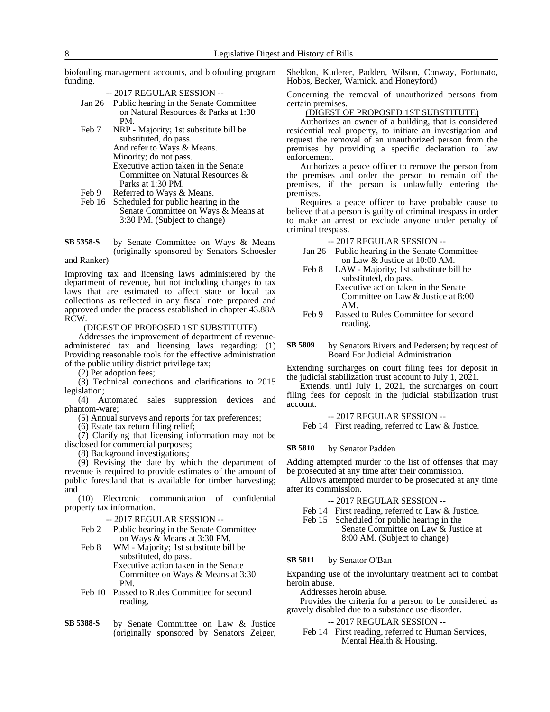biofouling management accounts, and biofouling program funding.

-- 2017 REGULAR SESSION --

- Jan 26 Public hearing in the Senate Committee on Natural Resources & Parks at 1:30 PM.
- Feb 7 NRP Majority; 1st substitute bill be substituted, do pass. And refer to Ways & Means. Minority; do not pass. Executive action taken in the Senate Committee on Natural Resources & Parks at 1:30 PM.
- Feb 9 Referred to Ways & Means.
- Feb 16 Scheduled for public hearing in the Senate Committee on Ways & Means at 3:30 PM. (Subject to change)
- by Senate Committee on Ways & Means (originally sponsored by Senators Schoesler and Ranker) **SB 5358-S**

Improving tax and licensing laws administered by the department of revenue, but not including changes to tax laws that are estimated to affect state or local tax collections as reflected in any fiscal note prepared and approved under the process established in chapter 43.88A RCW.

(DIGEST OF PROPOSED 1ST SUBSTITUTE)

Addresses the improvement of department of revenueadministered tax and licensing laws regarding: (1) Providing reasonable tools for the effective administration of the public utility district privilege tax;

(2) Pet adoption fees;

(3) Technical corrections and clarifications to 2015 legislation;

(4) Automated sales suppression devices and phantom-ware;

(5) Annual surveys and reports for tax preferences;

(6) Estate tax return filing relief;

(7) Clarifying that licensing information may not be disclosed for commercial purposes;

(8) Background investigations;

(9) Revising the date by which the department of revenue is required to provide estimates of the amount of public forestland that is available for timber harvesting; and

(10) Electronic communication of confidential property tax information.

-- 2017 REGULAR SESSION --

- Feb 2 Public hearing in the Senate Committee on Ways & Means at 3:30 PM.
- Feb 8 WM Majority; 1st substitute bill be substituted, do pass. Executive action taken in the Senate Committee on Ways & Means at 3:30 PM.
- Feb 10 Passed to Rules Committee for second reading.
- by Senate Committee on Law & Justice (originally sponsored by Senators Zeiger, **SB 5388-S**

Sheldon, Kuderer, Padden, Wilson, Conway, Fortunato, Hobbs, Becker, Warnick, and Honeyford)

Concerning the removal of unauthorized persons from certain premises.

#### (DIGEST OF PROPOSED 1ST SUBSTITUTE)

Authorizes an owner of a building, that is considered residential real property, to initiate an investigation and request the removal of an unauthorized person from the premises by providing a specific declaration to law enforcement.

Authorizes a peace officer to remove the person from the premises and order the person to remain off the premises, if the person is unlawfully entering the premises.

Requires a peace officer to have probable cause to believe that a person is guilty of criminal trespass in order to make an arrest or exclude anyone under penalty of criminal trespass.

-- 2017 REGULAR SESSION --

- Jan 26 Public hearing in the Senate Committee on Law & Justice at 10:00 AM.
- Feb 8 LAW Majority; 1st substitute bill be substituted, do pass. Executive action taken in the Senate Committee on Law & Justice at 8:00 AM.
- Feb 9 Passed to Rules Committee for second reading.
- by Senators Rivers and Pedersen; by request of Board For Judicial Administration **SB 5809**

Extending surcharges on court filing fees for deposit in the judicial stabilization trust account to July 1, 2021.

Extends, until July 1, 2021, the surcharges on court filing fees for deposit in the judicial stabilization trust account.

-- 2017 REGULAR SESSION --

Feb 14 First reading, referred to Law & Justice.

#### by Senator Padden **SB 5810**

Adding attempted murder to the list of offenses that may be prosecuted at any time after their commission.

Allows attempted murder to be prosecuted at any time after its commission.

- -- 2017 REGULAR SESSION --
- Feb 14 First reading, referred to Law & Justice.
- Feb 15 Scheduled for public hearing in the Senate Committee on Law & Justice at 8:00 AM. (Subject to change)

#### by Senator O'Ban **SB 5811**

Expanding use of the involuntary treatment act to combat heroin abuse.

Addresses heroin abuse.

Provides the criteria for a person to be considered as gravely disabled due to a substance use disorder.

### -- 2017 REGULAR SESSION --

Feb 14 First reading, referred to Human Services, Mental Health & Housing.